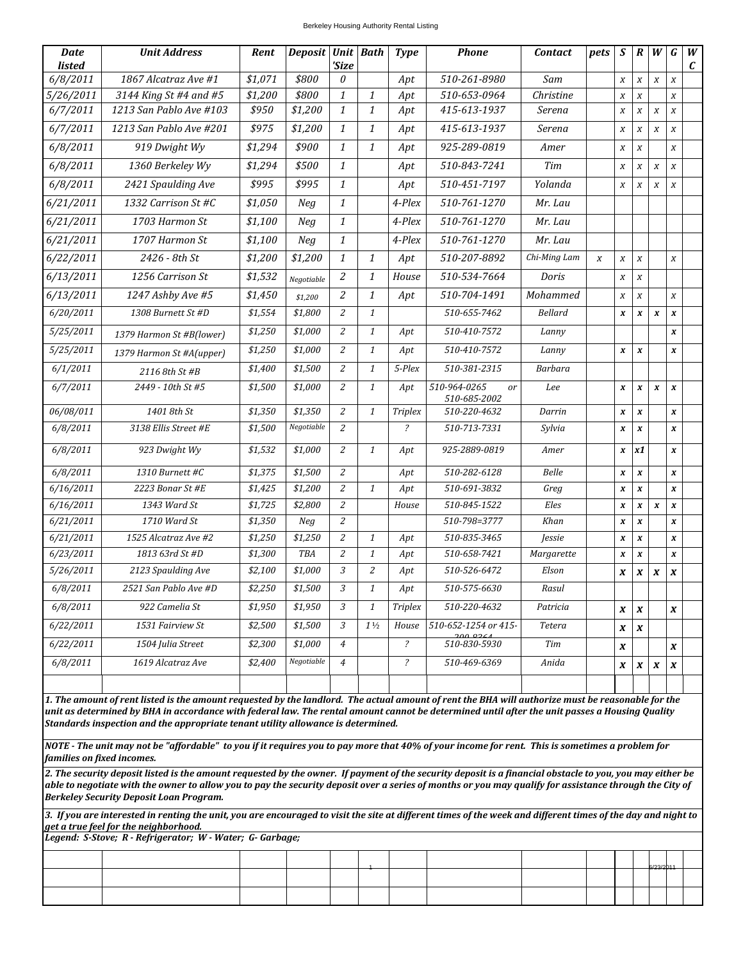## Berkeley Housing Authority Rental Listing

| <b>Date</b><br><b>listed</b>                                                                                                                                                                                                                                                                                                                                                                                                                                                                                                                                                                                                                                                                                                          | <b>Unit Address</b>      | Rent    | <b>Deposit</b> | 'Size          | <b>Unit Bath</b> | <b>Type</b>              | <b>Phone</b>                                  | <b>Contact</b> | pets             | S                | $\boldsymbol{R}$    | W                | G                | W<br>$\mathcal C$ |
|---------------------------------------------------------------------------------------------------------------------------------------------------------------------------------------------------------------------------------------------------------------------------------------------------------------------------------------------------------------------------------------------------------------------------------------------------------------------------------------------------------------------------------------------------------------------------------------------------------------------------------------------------------------------------------------------------------------------------------------|--------------------------|---------|----------------|----------------|------------------|--------------------------|-----------------------------------------------|----------------|------------------|------------------|---------------------|------------------|------------------|-------------------|
| 6/8/2011                                                                                                                                                                                                                                                                                                                                                                                                                                                                                                                                                                                                                                                                                                                              | 1867 Alcatraz Ave #1     | \$1,071 | \$800          | 0              |                  | Apt                      | 510-261-8980                                  | Sam            |                  | $\boldsymbol{X}$ | $\boldsymbol{x}$    | $\boldsymbol{X}$ | $\boldsymbol{X}$ |                   |
| 5/26/2011                                                                                                                                                                                                                                                                                                                                                                                                                                                                                                                                                                                                                                                                                                                             | 3144 King St #4 and #5   | \$1,200 | \$800          | $\mathbf{1}$   | $\mathbf{1}$     | Apt                      | 510-653-0964                                  | Christine      |                  | $\boldsymbol{X}$ | $\boldsymbol{X}$    |                  | $\boldsymbol{X}$ |                   |
| 6/7/2011                                                                                                                                                                                                                                                                                                                                                                                                                                                                                                                                                                                                                                                                                                                              | 1213 San Pablo Ave #103  | \$950   | \$1,200        | $\mathbf{1}$   | 1                | Apt                      | 415-613-1937                                  | Serena         |                  | $\boldsymbol{X}$ | $\boldsymbol{X}$    | $\boldsymbol{X}$ | $\boldsymbol{X}$ |                   |
| 6/7/2011                                                                                                                                                                                                                                                                                                                                                                                                                                                                                                                                                                                                                                                                                                                              | 1213 San Pablo Ave #201  | \$975   | \$1,200        | $\mathbf{1}$   | 1                | Apt                      | 415-613-1937                                  | Serena         |                  | X                | $\boldsymbol{X}$    | $\boldsymbol{X}$ | $\boldsymbol{X}$ |                   |
| 6/8/2011                                                                                                                                                                                                                                                                                                                                                                                                                                                                                                                                                                                                                                                                                                                              | 919 Dwight Wy            | \$1,294 | \$900          | $\mathbf{1}$   | $\mathbf{1}$     | Apt                      | 925-289-0819                                  | Amer           |                  | $\boldsymbol{X}$ | $\boldsymbol{x}$    |                  | $\boldsymbol{X}$ |                   |
| 6/8/2011                                                                                                                                                                                                                                                                                                                                                                                                                                                                                                                                                                                                                                                                                                                              | 1360 Berkeley Wy         | \$1,294 | \$500          | $\mathbf{1}$   |                  | Apt                      | 510-843-7241                                  | Tim            |                  | $\boldsymbol{X}$ | $\boldsymbol{x}$    | $\boldsymbol{X}$ | $\boldsymbol{X}$ |                   |
| 6/8/2011                                                                                                                                                                                                                                                                                                                                                                                                                                                                                                                                                                                                                                                                                                                              | 2421 Spaulding Ave       | \$995   | \$995          | $\mathbf{1}$   |                  | Apt                      | 510-451-7197                                  | Yolanda        |                  | $\boldsymbol{X}$ | $\boldsymbol{X}$    | $\boldsymbol{X}$ | $\boldsymbol{X}$ |                   |
| 6/21/2011                                                                                                                                                                                                                                                                                                                                                                                                                                                                                                                                                                                                                                                                                                                             | 1332 Carrison St #C      | \$1,050 | Neg            | $\mathbf{1}$   |                  | 4-Plex                   | 510-761-1270                                  | Mr. Lau        |                  |                  |                     |                  |                  |                   |
| 6/21/2011                                                                                                                                                                                                                                                                                                                                                                                                                                                                                                                                                                                                                                                                                                                             | 1703 Harmon St           | \$1,100 | Neg            | $\mathbf{1}$   |                  | 4-Plex                   | 510-761-1270                                  | Mr. Lau        |                  |                  |                     |                  |                  |                   |
| 6/21/2011                                                                                                                                                                                                                                                                                                                                                                                                                                                                                                                                                                                                                                                                                                                             | 1707 Harmon St           | \$1,100 | Neg            | $\mathbf{1}$   |                  | 4-Plex                   | 510-761-1270                                  | Mr. Lau        |                  |                  |                     |                  |                  |                   |
| 6/22/2011                                                                                                                                                                                                                                                                                                                                                                                                                                                                                                                                                                                                                                                                                                                             | 2426 - 8th St            | \$1,200 | \$1,200        | $\mathbf{1}$   | $\mathbf{1}$     | Apt                      | 510-207-8892                                  | Chi-Ming Lam   | $\boldsymbol{X}$ | $\boldsymbol{X}$ | $\boldsymbol{X}$    |                  | $\boldsymbol{X}$ |                   |
| 6/13/2011                                                                                                                                                                                                                                                                                                                                                                                                                                                                                                                                                                                                                                                                                                                             | 1256 Carrison St         | \$1,532 | Negotiable     | 2              | 1                | House                    | 510-534-7664                                  | Doris          |                  | $\boldsymbol{X}$ | $\boldsymbol{x}$    |                  |                  |                   |
| 6/13/2011                                                                                                                                                                                                                                                                                                                                                                                                                                                                                                                                                                                                                                                                                                                             | 1247 Ashby Ave #5        | \$1,450 | \$1,200        | 2              | $\mathbf{1}$     | Apt                      | 510-704-1491                                  | Mohammed       |                  | $\boldsymbol{X}$ | $\boldsymbol{\chi}$ |                  | $\boldsymbol{X}$ |                   |
| 6/20/2011                                                                                                                                                                                                                                                                                                                                                                                                                                                                                                                                                                                                                                                                                                                             | 1308 Burnett St #D       | \$1,554 | \$1,800        | 2              | $\mathbf{1}$     |                          | 510-655-7462                                  | Bellard        |                  | $\pmb{X}$        | $\pmb{X}$           | $\pmb{X}$        | $\pmb{X}$        |                   |
| 5/25/2011                                                                                                                                                                                                                                                                                                                                                                                                                                                                                                                                                                                                                                                                                                                             | 1379 Harmon St #B(lower) | \$1,250 | \$1,000        | 2              | $\mathbf{1}$     | Apt                      | 510-410-7572                                  | Lanny          |                  |                  |                     |                  | $\pmb{X}$        |                   |
| 5/25/2011                                                                                                                                                                                                                                                                                                                                                                                                                                                                                                                                                                                                                                                                                                                             | 1379 Harmon St #A(upper) | \$1,250 | \$1,000        | 2              | 1                | Apt                      | 510-410-7572                                  | Lanny          |                  | x                | $\pmb{X}$           |                  | $\pmb{X}$        |                   |
| 6/1/2011                                                                                                                                                                                                                                                                                                                                                                                                                                                                                                                                                                                                                                                                                                                              | 2116 8th St #B           | \$1,400 | \$1,500        | $\overline{2}$ | $\mathbf{1}$     | 5-Plex                   | 510-381-2315                                  | Barbara        |                  |                  |                     |                  |                  |                   |
| 6/7/2011                                                                                                                                                                                                                                                                                                                                                                                                                                                                                                                                                                                                                                                                                                                              | 2449 - 10th St #5        | \$1,500 | \$1,000        | 2              | $\mathbf{1}$     | Apt                      | 510-964-0265<br><sub>or</sub><br>510-685-2002 | Lee            |                  | x                | $\boldsymbol{x}$    | $\pmb{X}$        | $\pmb{X}$        |                   |
| 06/08/011                                                                                                                                                                                                                                                                                                                                                                                                                                                                                                                                                                                                                                                                                                                             | 1401 8th St              | \$1,350 | \$1,350        | $\overline{2}$ | $\mathbf{1}$     | <b>Triplex</b>           | 510-220-4632                                  | Darrin         |                  | x                | $\pmb{X}$           |                  | $\pmb{X}$        |                   |
| 6/8/2011                                                                                                                                                                                                                                                                                                                                                                                                                                                                                                                                                                                                                                                                                                                              | 3138 Ellis Street #E     | \$1,500 | Negotiable     | 2              |                  | $\overline{\mathcal{E}}$ | 510-713-7331                                  | Sylvia         |                  | x                | $\pmb{X}$           |                  | $\pmb{X}$        |                   |
| 6/8/2011                                                                                                                                                                                                                                                                                                                                                                                                                                                                                                                                                                                                                                                                                                                              | 923 Dwight Wy            | \$1,532 | \$1,000        | 2              | $\mathbf{1}$     | Apt                      | 925-2889-0819                                 | Amer           |                  | x                | x1                  |                  | $\boldsymbol{x}$ |                   |
| 6/8/2011                                                                                                                                                                                                                                                                                                                                                                                                                                                                                                                                                                                                                                                                                                                              | 1310 Burnett #C          | \$1,375 | \$1,500        | 2              |                  | Apt                      | 510-282-6128                                  | <b>Belle</b>   |                  | $\pmb{X}$        | $\pmb{X}$           |                  | $\boldsymbol{x}$ |                   |
| 6/16/2011                                                                                                                                                                                                                                                                                                                                                                                                                                                                                                                                                                                                                                                                                                                             | 2223 Bonar St #E         | \$1,425 | \$1,200        | 2              | $\mathbf{1}$     | Apt                      | 510-691-3832                                  | Greg           |                  | x                | $\boldsymbol{x}$    |                  | $\boldsymbol{x}$ |                   |
| 6/16/2011                                                                                                                                                                                                                                                                                                                                                                                                                                                                                                                                                                                                                                                                                                                             | 1343 Ward St             | \$1,725 | \$2,800        | 2              |                  | House                    | 510-845-1522                                  | Eles           |                  | $\pmb{X}$        | $\boldsymbol{x}$    | $\boldsymbol{x}$ | $\boldsymbol{x}$ |                   |
| 6/21/2011                                                                                                                                                                                                                                                                                                                                                                                                                                                                                                                                                                                                                                                                                                                             | 1710 Ward St             | \$1,350 | Neg            | 2              |                  |                          | 510-798=3777                                  | Khan           |                  | x                | $\pmb{X}$           |                  | $\boldsymbol{x}$ |                   |
| 6/21/2011                                                                                                                                                                                                                                                                                                                                                                                                                                                                                                                                                                                                                                                                                                                             | 1525 Alcatraz Ave #2     | \$1,250 | \$1,250        | $\overline{2}$ | $\mathbf{1}$     | Apt                      | 510-835-3465                                  | <i>Jessie</i>  |                  | $\pmb{X}$        | $\pmb{X}$           |                  | $\pmb{X}$        |                   |
| 6/23/2011                                                                                                                                                                                                                                                                                                                                                                                                                                                                                                                                                                                                                                                                                                                             | 1813 63rd St #D          | \$1,300 | <b>TBA</b>     | 2              | 1                | Apt                      | 510-658-7421                                  | Margarette     |                  | X                | $\pmb{X}$           |                  | $\pmb{X}$        |                   |
| 5/26/2011                                                                                                                                                                                                                                                                                                                                                                                                                                                                                                                                                                                                                                                                                                                             | 2123 Spaulding Ave       | \$2,100 | \$1,000        | 3              | $\overline{c}$   | Apt                      | 510-526-6472                                  | Elson          |                  | X                | X                   | $\boldsymbol{x}$ | $\pmb{X}$        |                   |
| 6/8/2011                                                                                                                                                                                                                                                                                                                                                                                                                                                                                                                                                                                                                                                                                                                              | 2521 San Pablo Ave #D    | \$2,250 | \$1,500        | 3              | 1                | Apt                      | 510-575-6630                                  | Kasul          |                  |                  |                     |                  |                  |                   |
| 6/8/2011                                                                                                                                                                                                                                                                                                                                                                                                                                                                                                                                                                                                                                                                                                                              | 922 Camelia St           | \$1,950 | \$1,950        | 3              | $\mathbf{1}$     | <b>Triplex</b>           | 510-220-4632                                  | Patricia       |                  | $\pmb{X}$        | $\boldsymbol{x}$    |                  | $\pmb{X}$        |                   |
| 6/22/2011                                                                                                                                                                                                                                                                                                                                                                                                                                                                                                                                                                                                                                                                                                                             | 1531 Fairview St         | \$2,500 | \$1,500        | 3              | $1\frac{1}{2}$   | House                    | 510-652-1254 or 415-<br>200.02 $\epsilon$     | Tetera         |                  | $\boldsymbol{x}$ | $\pmb{X}$           |                  |                  |                   |
| 6/22/2011                                                                                                                                                                                                                                                                                                                                                                                                                                                                                                                                                                                                                                                                                                                             | 1504 Julia Street        | \$2,300 | \$1,000        | $\overline{4}$ |                  | $\overline{?}$           | 510-830-5930                                  | Tim            |                  | $\pmb{X}$        |                     |                  | $\pmb{X}$        |                   |
| 6/8/2011                                                                                                                                                                                                                                                                                                                                                                                                                                                                                                                                                                                                                                                                                                                              | 1619 Alcatraz Ave        | \$2,400 | Negotiable     | 4              |                  | $\overline{\mathcal{E}}$ | 510-469-6369                                  | Anida          |                  | X                | $\boldsymbol{x}$    | $\boldsymbol{x}$ | $\pmb{X}$        |                   |
|                                                                                                                                                                                                                                                                                                                                                                                                                                                                                                                                                                                                                                                                                                                                       |                          |         |                |                |                  |                          |                                               |                |                  |                  |                     |                  |                  |                   |
| 1. The amount of rent listed is the amount requested by the landlord. The actual amount of rent the BHA will authorize must be reasonable for the<br>unit as determined by BHA in accordance with federal law. The rental amount cannot be determined until after the unit passes a Housing Quality<br>Standards inspection and the appropriate tenant utility allowance is determined.<br>NOTE - The unit may not be "affordable" to you if it requires you to pay more that 40% of your income for rent. This is sometimes a problem for<br>families on fixed incomes.<br>2. The security deposit listed is the amount requested by the owner. If payment of the security deposit is a financial obstacle to you, you may either be |                          |         |                |                |                  |                          |                                               |                |                  |                  |                     |                  |                  |                   |
| able to negotiate with the owner to allow you to pay the security deposit over a series of months or you may qualify for assistance through the City of<br>Berkeley Security Deposit Loan Program.<br>3. If you are interested in renting the unit, you are encouraged to visit the site at different times of the week and different times of the day and night to<br>get a true feel for the neighborhood.                                                                                                                                                                                                                                                                                                                          |                          |         |                |                |                  |                          |                                               |                |                  |                  |                     |                  |                  |                   |
| Legend: S-Stove; R - Refrigerator; W - Water; G - Garbage;                                                                                                                                                                                                                                                                                                                                                                                                                                                                                                                                                                                                                                                                            |                          |         |                |                |                  |                          |                                               |                |                  |                  |                     |                  |                  |                   |
|                                                                                                                                                                                                                                                                                                                                                                                                                                                                                                                                                                                                                                                                                                                                       |                          |         |                |                |                  |                          |                                               |                |                  |                  |                     |                  |                  |                   |
|                                                                                                                                                                                                                                                                                                                                                                                                                                                                                                                                                                                                                                                                                                                                       |                          |         |                |                |                  |                          |                                               |                |                  |                  |                     |                  |                  |                   |